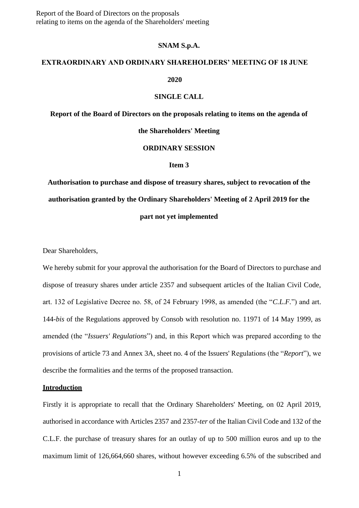#### **SNAM S.p.A.**

# **EXTRAORDINARY AND ORDINARY SHAREHOLDERS' MEETING OF 18 JUNE**

### **2020**

### **SINGLE CALL**

**Report of the Board of Directors on the proposals relating to items on the agenda of** 

**the Shareholders' Meeting**

### **ORDINARY SESSION**

### **Item 3**

**Authorisation to purchase and dispose of treasury shares, subject to revocation of the authorisation granted by the Ordinary Shareholders' Meeting of 2 April 2019 for the part not yet implemented**

Dear Shareholders,

We hereby submit for your approval the authorisation for the Board of Directors to purchase and dispose of treasury shares under article 2357 and subsequent articles of the Italian Civil Code, art. 132 of Legislative Decree no. 58, of 24 February 1998, as amended (the "*C.L.F.*") and art. 144-*bis* of the Regulations approved by Consob with resolution no. 11971 of 14 May 1999, as amended (the "*Issuers' Regulations*") and, in this Report which was prepared according to the provisions of article 73 and Annex 3A, sheet no. 4 of the Issuers' Regulations (the "*Report*"), we describe the formalities and the terms of the proposed transaction.

#### **Introduction**

Firstly it is appropriate to recall that the Ordinary Shareholders' Meeting, on 02 April 2019, authorised in accordance with Articles 2357 and 2357-*ter* of the Italian Civil Code and 132 of the C.L.F. the purchase of treasury shares for an outlay of up to 500 million euros and up to the maximum limit of 126,664,660 shares, without however exceeding 6.5% of the subscribed and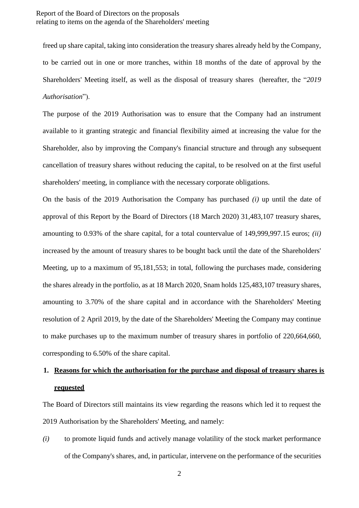freed up share capital, taking into consideration the treasury shares already held by the Company, to be carried out in one or more tranches, within 18 months of the date of approval by the Shareholders' Meeting itself, as well as the disposal of treasury shares (hereafter, the "*2019 Authorisation*").

The purpose of the 2019 Authorisation was to ensure that the Company had an instrument available to it granting strategic and financial flexibility aimed at increasing the value for the Shareholder, also by improving the Company's financial structure and through any subsequent cancellation of treasury shares without reducing the capital, to be resolved on at the first useful shareholders' meeting, in compliance with the necessary corporate obligations.

On the basis of the 2019 Authorisation the Company has purchased *(i)* up until the date of approval of this Report by the Board of Directors (18 March 2020) 31,483,107 treasury shares, amounting to 0.93% of the share capital, for a total countervalue of 149,999,997.15 euros; *(ii)* increased by the amount of treasury shares to be bought back until the date of the Shareholders' Meeting, up to a maximum of 95,181,553; in total, following the purchases made, considering the shares already in the portfolio, as at 18 March 2020, Snam holds 125,483,107 treasury shares, amounting to 3.70% of the share capital and in accordance with the Shareholders' Meeting resolution of 2 April 2019, by the date of the Shareholders' Meeting the Company may continue to make purchases up to the maximum number of treasury shares in portfolio of 220,664,660, corresponding to 6.50% of the share capital.

## **1. Reasons for which the authorisation for the purchase and disposal of treasury shares is requested**

The Board of Directors still maintains its view regarding the reasons which led it to request the 2019 Authorisation by the Shareholders' Meeting, and namely:

*(i)* to promote liquid funds and actively manage volatility of the stock market performance of the Company's shares, and, in particular, intervene on the performance of the securities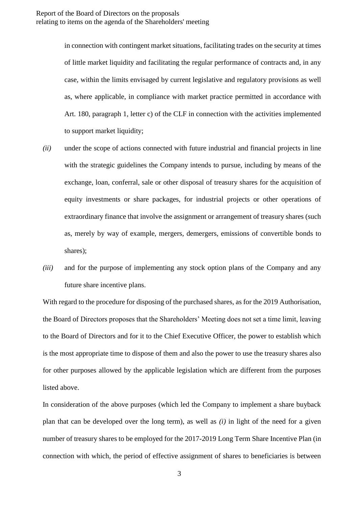in connection with contingent market situations, facilitating trades on the security at times of little market liquidity and facilitating the regular performance of contracts and, in any case, within the limits envisaged by current legislative and regulatory provisions as well as, where applicable, in compliance with market practice permitted in accordance with Art. 180, paragraph 1, letter c) of the CLF in connection with the activities implemented to support market liquidity;

- *(ii)* under the scope of actions connected with future industrial and financial projects in line with the strategic guidelines the Company intends to pursue, including by means of the exchange, loan, conferral, sale or other disposal of treasury shares for the acquisition of equity investments or share packages, for industrial projects or other operations of extraordinary finance that involve the assignment or arrangement of treasury shares (such as, merely by way of example, mergers, demergers, emissions of convertible bonds to shares);
- *(iii)* and for the purpose of implementing any stock option plans of the Company and any future share incentive plans.

With regard to the procedure for disposing of the purchased shares, as for the 2019 Authorisation, the Board of Directors proposes that the Shareholders' Meeting does not set a time limit, leaving to the Board of Directors and for it to the Chief Executive Officer, the power to establish which is the most appropriate time to dispose of them and also the power to use the treasury shares also for other purposes allowed by the applicable legislation which are different from the purposes listed above.

In consideration of the above purposes (which led the Company to implement a share buyback plan that can be developed over the long term), as well as *(i)* in light of the need for a given number of treasury shares to be employed for the 2017-2019 Long Term Share Incentive Plan (in connection with which, the period of effective assignment of shares to beneficiaries is between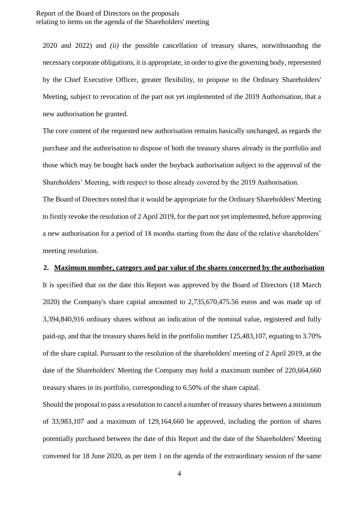2020 and 2022) and *(ii)* the possible cancellation of treasury shares, notwithstanding the necessary corporate obligations, it is appropriate, in order to give the governing body, represented by the Chief Executive Officer, greater flexibility, to propose to the Ordinary Shareholders' Meeting, subject to revocation of the part not yet implemented of the 2019 Authorisation, that a new authorisation be granted.

The core content of the requested new authorisation remains basically unchanged, as regards the purchase and the authorisation to dispose of both the treasury shares already in the portfolio and those which may be bought back under the buyback authorisation subject to the approval of the Shareholders' Meeting, with respect to those already covered by the 2019 Authorisation.

The Board of Directors noted that it would be appropriate for the Ordinary Shareholders' Meeting to firstly revoke the resolution of 2 April 2019, for the part not yet implemented, before approving a new authorisation for a period of 18 months starting from the date of the relative shareholders' meeting resolution.

### **2. Maximum number, category and par value of the shares concerned by the authorisation**

It is specified that on the date this Report was approved by the Board of Directors (18 March 2020) the Company's share capital amounted to 2,735,670,475.56 euros and was made up of 3,394,840,916 ordinary shares without an indication of the nominal value, registered and fully paid-up, and that the treasury shares held in the portfolio number 125,483,107, equating to 3.70% of the share capital. Pursuant to the resolution of the shareholders' meeting of 2 April 2019, at the date of the Shareholders' Meeting the Company may hold a maximum number of 220,664,660 treasury shares in its portfolio, corresponding to 6.50% of the share capital.

Should the proposal to pass a resolution to cancel a number of treasury shares between a minimum of 33,983,107 and a maximum of 129,164,660 be approved, including the portion of shares potentially purchased between the date of this Report and the date of the Shareholders' Meeting convened for 18 June 2020, as per item 1 on the agenda of the extraordinary session of the same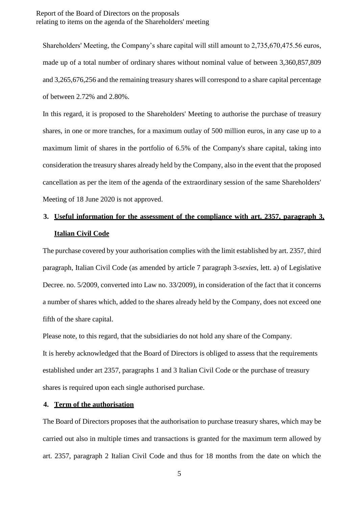Shareholders' Meeting, the Company's share capital will still amount to 2,735,670,475.56 euros, made up of a total number of ordinary shares without nominal value of between 3,360,857,809 and 3,265,676,256 and the remaining treasury shares will correspond to a share capital percentage of between 2.72% and 2.80%.

In this regard, it is proposed to the Shareholders' Meeting to authorise the purchase of treasury shares, in one or more tranches, for a maximum outlay of 500 million euros, in any case up to a maximum limit of shares in the portfolio of 6.5% of the Company's share capital, taking into consideration the treasury shares already held by the Company, also in the event that the proposed cancellation as per the item of the agenda of the extraordinary session of the same Shareholders' Meeting of 18 June 2020 is not approved.

# **3. Useful information for the assessment of the compliance with art. 2357, paragraph 3, Italian Civil Code**

The purchase covered by your authorisation complies with the limit established by art. 2357, third paragraph, Italian Civil Code (as amended by article 7 paragraph 3-*sexies*, lett. a) of Legislative Decree. no. 5/2009, converted into Law no. 33/2009), in consideration of the fact that it concerns a number of shares which, added to the shares already held by the Company, does not exceed one fifth of the share capital.

Please note, to this regard, that the subsidiaries do not hold any share of the Company. It is hereby acknowledged that the Board of Directors is obliged to assess that the requirements established under art 2357, paragraphs 1 and 3 Italian Civil Code or the purchase of treasury shares is required upon each single authorised purchase.

### **4. Term of the authorisation**

The Board of Directors proposes that the authorisation to purchase treasury shares, which may be carried out also in multiple times and transactions is granted for the maximum term allowed by art. 2357, paragraph 2 Italian Civil Code and thus for 18 months from the date on which the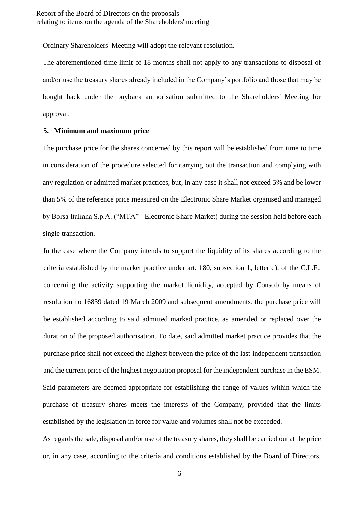Ordinary Shareholders' Meeting will adopt the relevant resolution.

The aforementioned time limit of 18 months shall not apply to any transactions to disposal of and/or use the treasury shares already included in the Company's portfolio and those that may be bought back under the buyback authorisation submitted to the Shareholders' Meeting for approval.

### **5. Minimum and maximum price**

The purchase price for the shares concerned by this report will be established from time to time in consideration of the procedure selected for carrying out the transaction and complying with any regulation or admitted market practices, but, in any case it shall not exceed 5% and be lower than 5% of the reference price measured on the Electronic Share Market organised and managed by Borsa Italiana S.p.A. ("MTA" - Electronic Share Market) during the session held before each single transaction.

In the case where the Company intends to support the liquidity of its shares according to the criteria established by the market practice under art. 180, subsection 1, letter c), of the C.L.F., concerning the activity supporting the market liquidity, accepted by Consob by means of resolution no 16839 dated 19 March 2009 and subsequent amendments, the purchase price will be established according to said admitted marked practice, as amended or replaced over the duration of the proposed authorisation. To date, said admitted market practice provides that the purchase price shall not exceed the highest between the price of the last independent transaction and the current price of the highest negotiation proposal for the independent purchase in the ESM. Said parameters are deemed appropriate for establishing the range of values within which the purchase of treasury shares meets the interests of the Company, provided that the limits established by the legislation in force for value and volumes shall not be exceeded.

As regards the sale, disposal and/or use of the treasury shares, they shall be carried out at the price or, in any case, according to the criteria and conditions established by the Board of Directors,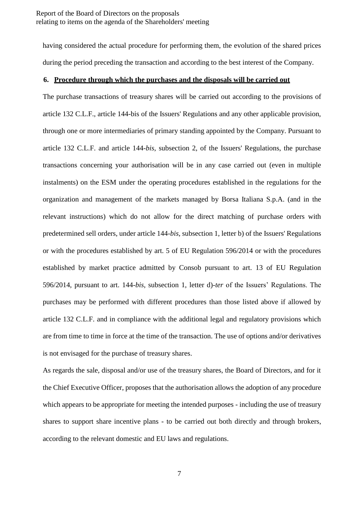having considered the actual procedure for performing them, the evolution of the shared prices during the period preceding the transaction and according to the best interest of the Company.

#### **6. Procedure through which the purchases and the disposals will be carried out**

The purchase transactions of treasury shares will be carried out according to the provisions of article 132 C.L.F., article 144-bis of the Issuers' Regulations and any other applicable provision, through one or more intermediaries of primary standing appointed by the Company. Pursuant to article 132 C.L.F. and article 144-*bis*, subsection 2, of the Issuers' Regulations, the purchase transactions concerning your authorisation will be in any case carried out (even in multiple instalments) on the ESM under the operating procedures established in the regulations for the organization and management of the markets managed by Borsa Italiana S.p.A. (and in the relevant instructions) which do not allow for the direct matching of purchase orders with predetermined sell orders, under article 144-*bis*, subsection 1, letter b) of the Issuers' Regulations or with the procedures established by art. 5 of EU Regulation 596/2014 or with the procedures established by market practice admitted by Consob pursuant to art. 13 of EU Regulation 596/2014, pursuant to art. 144-*bis*, subsection 1, letter d)-*ter* of the Issuers' Regulations. The purchases may be performed with different procedures than those listed above if allowed by article 132 C.L.F. and in compliance with the additional legal and regulatory provisions which are from time to time in force at the time of the transaction. The use of options and/or derivatives is not envisaged for the purchase of treasury shares.

As regards the sale, disposal and/or use of the treasury shares, the Board of Directors, and for it the Chief Executive Officer, proposes that the authorisation allows the adoption of any procedure which appears to be appropriate for meeting the intended purposes - including the use of treasury shares to support share incentive plans - to be carried out both directly and through brokers, according to the relevant domestic and EU laws and regulations.

7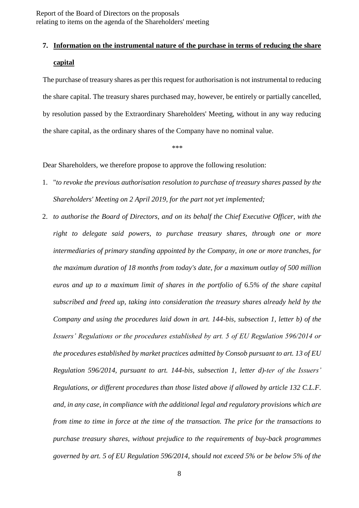# **7. Information on the instrumental nature of the purchase in terms of reducing the share capital**

The purchase of treasury shares as per this request for authorisation is not instrumental to reducing the share capital. The treasury shares purchased may, however, be entirely or partially cancelled, by resolution passed by the Extraordinary Shareholders' Meeting, without in any way reducing the share capital, as the ordinary shares of the Company have no nominal value.

\*\*\*

Dear Shareholders, we therefore propose to approve the following resolution:

- 1. "*to revoke the previous authorisation resolution to purchase of treasury shares passed by the Shareholders' Meeting on 2 April 2019, for the part not yet implemented;*
- 2. *to authorise the Board of Directors, and on its behalf the Chief Executive Officer, with the right to delegate said powers, to purchase treasury shares, through one or more intermediaries of primary standing appointed by the Company, in one or more tranches, for the maximum duration of 18 months from today's date, for a maximum outlay of 500 million euros and up to a maximum limit of shares in the portfolio of* 6.5*% of the share capital subscribed and freed up, taking into consideration the treasury shares already held by the Company and using the procedures laid down in art. 144-bis, subsection 1, letter b) of the Issuers' Regulations or the procedures established by art. 5 of EU Regulation 596/2014 or the procedures established by market practices admitted by Consob pursuant to art. 13 of EU Regulation 596/2014, pursuant to art. 144-bis, subsection 1, letter d)-ter of the Issuers' Regulations, or different procedures than those listed above if allowed by article 132 C.L.F. and, in any case, in compliance with the additional legal and regulatory provisions which are from time to time in force at the time of the transaction. The price for the transactions to purchase treasury shares, without prejudice to the requirements of buy-back programmes governed by art. 5 of EU Regulation 596/2014, should not exceed 5% or be below 5% of the*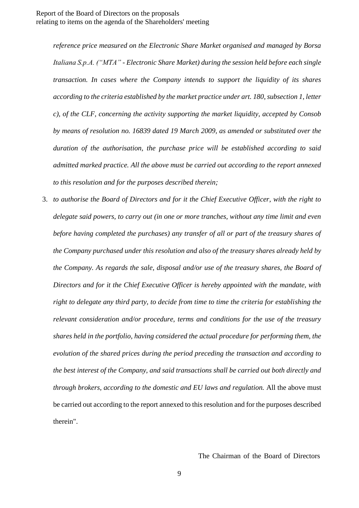*reference price measured on the Electronic Share Market organised and managed by Borsa Italiana S.p.A. ("MTA" - Electronic Share Market) during the session held before each single transaction. In cases where the Company intends to support the liquidity of its shares according to the criteria established by the market practice under art. 180, subsection 1, letter c), of the CLF, concerning the activity supporting the market liquidity, accepted by Consob by means of resolution no. 16839 dated 19 March 2009, as amended or substituted over the duration of the authorisation, the purchase price will be established according to said admitted marked practice. All the above must be carried out according to the report annexed to this resolution and for the purposes described therein;*

3. *to authorise the Board of Directors and for it the Chief Executive Officer, with the right to delegate said powers, to carry out (in one or more tranches, without any time limit and even before having completed the purchases) any transfer of all or part of the treasury shares of the Company purchased under this resolution and also of the treasury shares already held by the Company. As regards the sale, disposal and/or use of the treasury shares, the Board of Directors and for it the Chief Executive Officer is hereby appointed with the mandate, with right to delegate any third party, to decide from time to time the criteria for establishing the relevant consideration and/or procedure, terms and conditions for the use of the treasury shares held in the portfolio, having considered the actual procedure for performing them, the evolution of the shared prices during the period preceding the transaction and according to the best interest of the Company, and said transactions shall be carried out both directly and through brokers, according to the domestic and EU laws and regulation.* All the above must be carried out according to the report annexed to this resolution and for the purposes described therein".

The Chairman of the Board of Directors